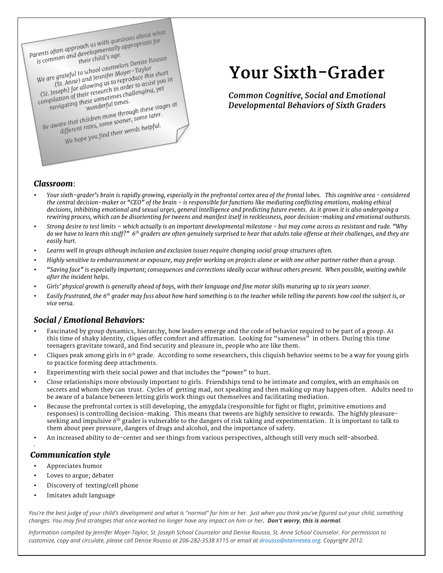Parents often approach us with questions about what<br>is common and developmentally appropriate for<br>is common and their child's age. arents often approach us with questions about with<br>is common and developmentally appropriate for<br>their child's age. is common and development<br>is common and development<br>their child's age.<br>We are grateful to school counselors Denise Rousso<br>We are grateful to school counselors Denight Short<br>(St. Anne) upwing us to reproduce this short e grateful to school counselors Denise is<br>e grateful to school counselors – Taylor<br>(St. Anne) and Jennifer Moyer – Taylor<br>in order to assist We are grateful to school counselors<br>(St. Anne) and Jennifer Moyer-Taylor<br>(St. Anne) and Jennifer Moyer-Taylor<br>(St. Joseph) for allowing us to reproduce this short<br>(St. Joseph) for allowing semetimes challenging, yet We are grateful to school lennifer Moyer<br>
(St. Anne) and Jennifer Moyer<br>
(St. Joseph) for allowing us to reproduce this short<br>
(St. Joseph) for allowing us to reproduce to assist you in<br>
compilation of their research in or

(St. Anne, allowing us to represent to assist you)<br>Joseph) for allowing us to represent to assist you<br>pilation of their research in order to assist you<br>mavigating these sometimes. ompilation by these sometimes.<br>
navigating these sometimes.<br>
Be aware that children move through these stages at<br>
Be aware that children move through these stages at<br>
different rates, some sooner, some later.

are that children move through these sus-<br>are that children move sooner, some later.<br>different rates, some sooner, some later. e that children some sooner, some<br>ifferent rates, some sooner, some<br>We hope you find their words helpful.

# **Your Sixth-Grader**

*Common Cognitive, Social and Emotional Developmental Behaviors of Sixth Graders*

### *Classroom*:

- *Your sixth-grader's brain is rapidly growing, especially in the prefrontal cortex area of the frontal lobes. This cognitive area - considered the central decision-maker or "CEO" of the brain - is responsible for functions like mediating conflicting emotions, making ethical decisions, inhibiting emotional and sexual urges, general intelligence and predicting future events. As it grows it is also undergoing a rewiring process, which can be disorienting for tweens and manifest itself in recklessness, poor decision-making and emotional outbursts.*
- *Strong desire to test limits – which actually is an important developmental milestone - but may come across as resistant and rude. "Why do we have to learn this stuff?" 6th graders are often genuinely surprised to hear that adults take offense at their challenges, and they are easily hurt.*
- *Learns well in groups although inclusion and exclusion issues require changing social group structures often.*
- *Highly sensitive to embarrassment or exposure, may prefer working on projects alone or with one other partner rather than a group.*
- *"Saving face" is especially important; consequences and corrections ideally occur without others present. When possible, waiting awhile after the incident helps.*
- Girls' physical growth is generally ahead of boys, with their language and fine motor skills maturing up to six years sooner.
- *Easily frustrated, the 6th grader may fuss about how hard something is to the teacher while telling the parents how cool the subject is, or vice versa.*

### *Social / Emotional Behaviors:*

- Fascinated by group dynamics, hierarchy, how leaders emerge and the code of behavior required to be part of a group. At this time of shaky identity, cliques offer comfort and affirmation. Looking for "sameness" in others. During this time teenagers gravitate toward, and find security and pleasure in, people who are like them.
- Cliques peak among girls in 6<sup>th</sup> grade. According to some researchers, this cliquish behavior seems to be a way for young girls to practice forming deep attachments.
- Experimenting with their social power and that includes the "power" to hurt.
- Close relationships more obviously important to girls. Friendships tend to be intimate and complex, with an emphasis on secrets and whom they can trust. Cycles of getting mad, not speaking and then making up may happen often. Adults need to be aware of a balance between letting girls work things out themselves and facilitating mediation.
- Because the prefrontal cortex is still developing, the amygdala (responsible for fight or flight, primitive emotions and responses) is controlling decision-making. This means that tweens are highly sensitive to rewards. The highly pleasureseeking and impulsive 6<sup>th</sup> grader is vulnerable to the dangers of risk taking and experimentation. It is important to talk to them about peer pressure, dangers of drugs and alcohol, and the importance of safety.
- An increased ability to de-center and see things from various perspectives, although still very much self-absorbed.

### *Communication style*

• Appreciates humor

•

- Loves to argue; debater
- Discovery of texting/cell phone
- Imitates adult language

*You're the best judge of your child's development and what is "normal" for him or her. Just when you think you've figured out your child, something changes. You may find strategies that once worked no longer have any impact on him or her. Don't worry, this is normal.* 

*Information compiled by Jennifer Moyer-Taylor, St. Joseph School Counselor and Denise Rousso, St. Anne School Counselor. For permission to customize, copy and circulate, please call Denise Rousso at 206-282-3538 X115 or email at drousso@stannesea.org. Copyright 2012.*